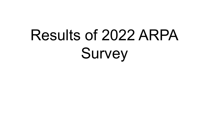# Results of 2022 ARPA Survey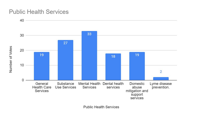#### **Public Health Services**



**Public Health Services**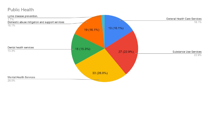#### **Public Health**

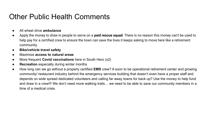#### Other Public Health Comments

- All wheel drive **ambulance**
- Apply the money to draw in people to serve on a **paid rescue squad**. There is no reason this money can't be used to help pay for a certified crew to ensure the town can save the lives it keeps asking to move here like a retirement community.
- **● Bike/vehicle travel safety**
- Maximize **access to natural areas**
- More frequent **Covid vaccinations** here in South Hero (x2)
- **Recreation** especially during winter months
- How long can we go without a properly certified **EMS** crew? A soon to be operational retirement center and growing community/ restaurant industry behind the emergency services building that doesn't even have a proper staff and depends on wide spread dedicated volunteers and calling far away towns for back up? Use the money to help fund and draw in a crew!!! We don't need more walking trails… we need to be able to save our community members in a time of a medical crisis.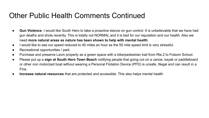#### Other Public Health Comments Continued

- **Gun Violence**. I would like South Hero to take a proactive stance on gun control. It is unbelievable that we have had gun deaths and shots recently. This is totally not NORMAL and it is bad for our reputation and our health. Also we need **more natural areas as nature has been shown to help with mental health**.
- I would like to see our speed reduced to 40 miles an hour as the 55 mile speed limit is very stressful.
- Recreational opportunities / park
- Purchase and preserve Lavin property as a green space with a bike/pedestrian trail from Rte.2 to Folsom School.
- Please put up a **sign at South Hero Town Beach** notifying people that going out on a canoe, kayak or paddleboard or other non motorized boat without wearing a Personal Flotation Device (PFD) is unsafe, Illegal and can result in a Fine.
- **Increase natural resources** that are protected and accessible. This also helps mental health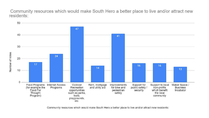Community resources which would make South Hero a better place to live and/or attract new residents:



Community resources which would make South Hero a better place to live and/or attract new residents: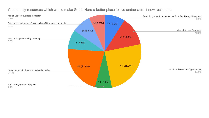

Community resources which would make South Hero a better place to live and/or attract new residents: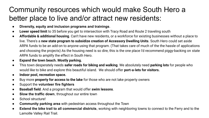# Community resources which would make South Hero a better place to live and/or attract new residents:

- **Diversity, equity and inclusion programs and trainings**.
- **Lower speed limit** to 35 before you get to intersection with Tracy Road and Route 2 traveling south
- **Affordable & additional housing**. Can't have new residents, or a workforce for existing businesses without a place to live. There's a **new state program to subsidize creation of Accessory Dwelling Units**. South Hero could set aside ARPA funds to be an add-on to anyone using that program. (That takes care of much of the the hassle of applications and choosing the projects) As the housing need is so dire, this is the one place I'd recommend piggy-backing on state ARPA funds to amplify the effect in South Hero.
- **● Expand the town beach. Mostly parking.**
- This town desperately needs **safer roads for biking and walking**. We absolutely need **parking lots** for people who would like to bike and explore this beautiful island. We should offer **port-a-lets for visitors.**
- **● Indoor pool, recreation space.**
- Buy more **property for access to the lake** for those who are not lake property owners
- Support the **volunteer fire fighters**
- **Baseball field**. And a program that would offer **swim lessons**.
- **Slow the traffic down**, throughout our entire town
- School structure!
- **Community parking area** with pedestrian access throughout the Town
- **Extend the bike trail to all commercial districts**, working with neighboring towns to connect to the Ferry and to the Lamoille Valley Rail Trail.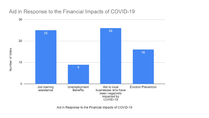#### Aid in Response to the Financial Impacts of COVID-19



Aid in Response to the Financial Impacts of COVID-19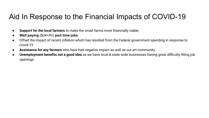#### Aid In Response to the Financial Impacts of COVID-19

- **Support for the local farmers** to make the small farms more financially viable.
- **Well paying** (\$24+/hr) **part time jobs**
- Offset the impact of recent inflation which has resulted from the Federal government spending in response to Covid-19
- **Assistance for any farmers** who have had negative impact as well as our art community
- **Unemployment benefits not a good idea** as we have local & state-wide businesses having great difficulty filling job openings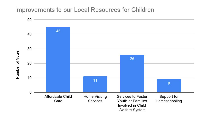#### Improvements to our Local Resources for Children

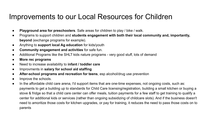#### Improvements to our Local Resources for Children

- **Playground area for preschoolers**. Safe areas for children to play / bike / walk.
- Programs to support children and **students engagement with both their local community and, importantly, beyond** (exchange programs for example).
- Anything to **support local Ag education** for kids/youth
- **Community engagement and activities** for safe fun.
- Additional Programs like the SHLT kids nature programs very good stuff, lots of demand
- **● More rec programs**
- Need to increase availability to **infant / toddler care**
- Improvments in **salary for school aid staffing**
- **After-school programs and recreation for teens**, esp alcohol/drug use prevention
- Improve the schools.
- In the affordable child care arena, I'd support items that are one-time expenses, not ongoing costs, such as: payments to get a building up to standards for Child Care licensing/registration, building a small kitchen or buying a stove & fridge so that a child care center can offer meals, tuition payments for a few staff to get training to qualify a center for additional kids or services (rather than ongoing subsidizing of childcare slots). And if the business doesn't need to amoritize those costs for kitchen upgrades, or pay for training, it reduces the need to pass those costs on to parents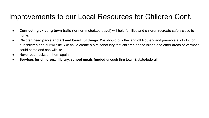#### Improvements to our Local Resources for Children Cont.

- **Connecting existing town trails** (for non-motorized travel) will help families and children recreate safely close to home.
- Children need **parks and art and beautiful things.** We should buy the land off Route 2 and preserve a lot of it for our children and our wildlife. We could create a bird sanctuary that children on the Island and other areas of Vermont could come and see wildlife.
- Never put masks on them again.
- **Services for children… library, school meals funded** enough thru town & state/federal!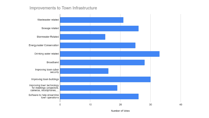#### Improvements to Town Infrastructure



Number of Votes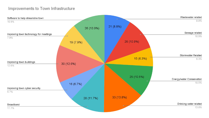#### Improvements to Town Infrastructure

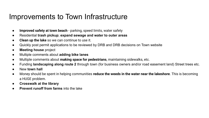#### Improvements to Town Infrastructure

- **Improved safety at town beach**  parking, speed limits, water safety
- Residential **trash pickup**; **expand sewage and water to outer areas**
- **Clean up the lake** so we can continue to use it.
- Quickly post permit applications to be reviewed by DRB and DRB decisions on Town website
- **Meeting house** project
- **Multiple comments about adding bike lanes**
- Multiple comments about **making space for pedestrians**, maintaining sidewalks, etc.
- Funding **landscaping along route 2** through town (for business owners and/or road easement land) Street trees etc.
- New **town hall**
- Money should be spent in helping communities **reduce the weeds in the water near the lakeshore**. This is becoming a HUGE problem.
- **● Crosswalk at the library**
- **Prevent runoff from farms** into the lake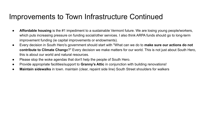#### Improvements to Town Infrastructure Continued

- **Affordable housing** is the #1 impediment to a sustainable Vermont future. We are losing young people/workers, which puts increasing pressure on funding social/other services. I also think ARPA funds should go to long-term improvement funding (ie capital improvements or endowments).
- Every decision in South Hero's government should start with "What can we do to **make sure our actions do not contribute to Climate Chang**e?" Every decision we make matters for our world. This is not just about South Hero, this is about our world and natural resources.
- Please stop the woke agendas that don't help the people of South Hero.
- Provide appropriate facilities/support to **Granny's Attic** in conjunction with building renovations!
- **Maintain sidewalks** in town. maintain (clear, repaint side line) South Street shoulders for walkers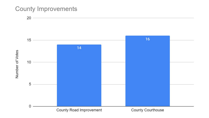#### **County Improvements**

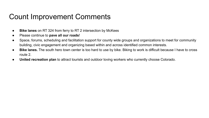## Count Improvement Comments

- **Bike lanes** on RT 324 from ferry to RT 2 intersection by McKees
- Please continue to **pave all our roads**!
- Space, forums, scheduling and facilitation support for county wide groups and organizations to meet for community building, civic engagement and organizing based within and across identified common interests.
- **Bike lanes.** The south hero town center is too hard to use by bike. Biking to work is difficult because I have to cross route 2.
- **United recreation plan** to attract tourists and outdoor loving workers who currently choose Colorado.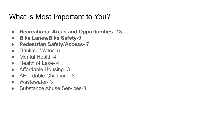#### What is Most Important to You?

- **● Recreational Areas and Opportunities- 13**
- **● Bike Lanes/Bike Safety-9**
- **● Pedestrian Safety/Access- 7**
- Drinking Water- 5
- Mental Health-4
- Health of Lake-4
- Affordable Housing- 3
- AFfordable Childcare- 3
- Wastewater- 3
- Substance Abuse Services-3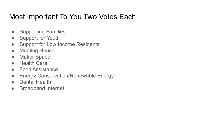## Most Important To You Two Votes Each

- Supporting Families
- Support for Youth
- Support for Low Income Residents
- Meeting House
- Maker Space
- Health Care
- Food Assistance
- Energy Conservation/Renewable Energy
- Dental Health
- Broadband Internet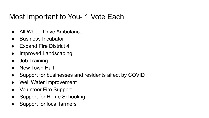#### Most Important to You- 1 Vote Each

- All Wheel Drive Ambulance
- Business Incubator
- Expand Fire District 4
- Improved Landscaping
- Job Training
- **New Town Hall**
- Support for businesses and residents affect by COVID
- Well Water Improvement
- Volunteer Fire Support
- Support for Home Schooling
- Support for local farmers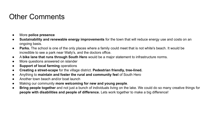# Other Comments

- More **police presence**
- **Sustainability and renewable energy improvements** for the town that will reduce energy use and costs on an ongoing basis.
- **Parks.** The school is one of the only places where a family could meet that is not white's beach. It would be incredible to see a park near Wally's, and the doctors office.
- A **bike lane that runs through South Hero** would be a major statement to infrastructure norms.
- More questions answered on islander
- **Support of local farming** operations
- **Creating a street-scape** for the village district. **Pedestrian friendly, tree-lined.**
- Anything to **maintain and foster the rural and community feel** of South Hero
- Another town beach and/or boat launch
- Making our community **more welcoming for new and young people**.
- **Bring people together** and not just a bunch of individuals living on the lake. We could do so many creative things for **people with disabilities and people of difference.** Lets work together to make a big difference!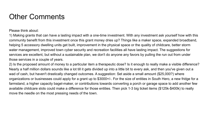# Other Comments

Please think about:

1) Making grants that can have a lasting impact with a one-time investment. With any investment ask yourself how with this community benefit from this investment once this grant money dries up? Things like a maker space, expanded broadband, helping 5 accessory dwelling units get built, improvement in the physical space or the quality of childcare, better storm water management, improved town cyber security and recreation facilities all have lasting impact. The suggestions for services are excellent, but without a sustainable plan, we don't do anyone any favors by pulling the run out from under those services in a couple of years.

2) Is the proposed amount of money to a particular item a therapeutic dose? Is it enough to really make a visible difference? Nearly a half million dollars sounds like a lot till it gets divided up into a little bit to every ask, and then you've given out a wad of cash, but haven't drastically changed outcomes. A suggestion: Set aside a small amount (\$25,000?) where organizations or businesses could apply for a grant up to \$3000+/-. For the size of entities in South Hero, a new fridge for a farmstand, a higher capacity bagel-maker, or contributions towards converting a porch or garage space to add another few available childcare slots could make a difference for those entities. Then pick 1-3 big ticket items (\$125k-\$400k) to really move the needle on the most pressing needs of the town.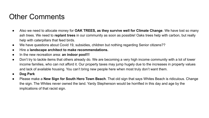# Other Comments

- Also we need to allocate money for **OAK TREES, as they survive well for Climate Change**. We have lost so many ash trees. We need to **replant trees** in our community as soon as possible! Oaks trees help with carbon, but really help with caterpillars that feed birds.
- We have questions about Covid 19, subsidies, children but nothing regarding Senior citizens??
- Hire a **landscape architect to make recommendations.**
- In the new recreation area: **an indoor pool!!!**
- Don't try to tackle items that others already do. We are becoming a very high income community with a lot of lower income families, who can not afford it. Our property taxes may jump hugely due to the increases in property values and lack of available housing. You can't bring new people here when most truly don't want them.
- **● Dog Park**
- Please make a **New Sign for South Hero Town Beach**. That old sign that says Whites Beach is ridiculous. Change the sign. The Whites never owned the land. Yardy Stephenson would be horrified in this day and age by the implications of that racist sign.